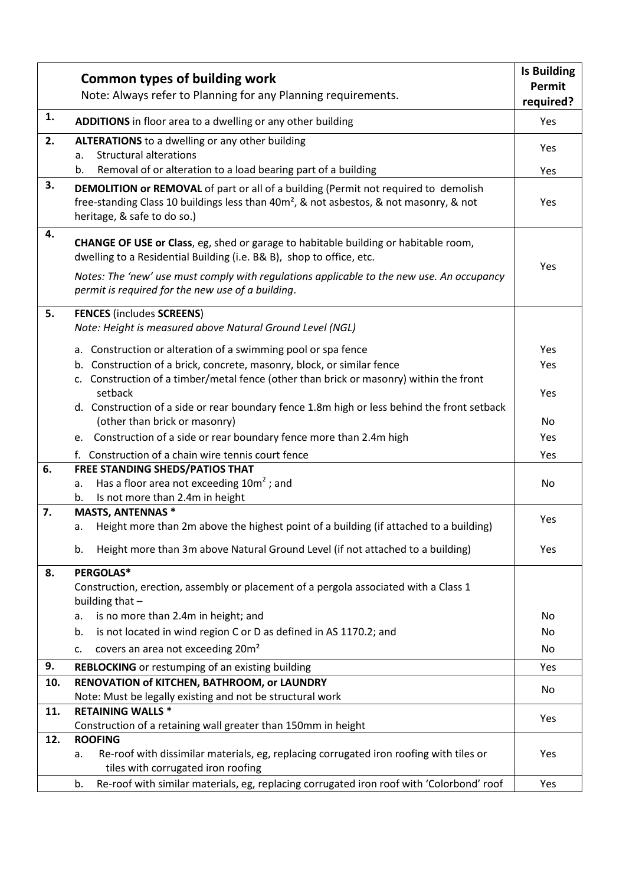|     | <b>Common types of building work</b>                                                                                                                                                                                     | <b>Is Building</b><br>Permit |
|-----|--------------------------------------------------------------------------------------------------------------------------------------------------------------------------------------------------------------------------|------------------------------|
|     | Note: Always refer to Planning for any Planning requirements.                                                                                                                                                            | required?                    |
| 1.  | ADDITIONS in floor area to a dwelling or any other building                                                                                                                                                              | Yes                          |
| 2.  | <b>ALTERATIONS</b> to a dwelling or any other building<br><b>Structural alterations</b><br>a.                                                                                                                            | Yes                          |
|     | Removal of or alteration to a load bearing part of a building<br>b.                                                                                                                                                      | Yes                          |
| 3.  | DEMOLITION or REMOVAL of part or all of a building (Permit not required to demolish<br>free-standing Class 10 buildings less than 40m <sup>2</sup> , & not asbestos, & not masonry, & not<br>heritage, & safe to do so.) | Yes                          |
| 4.  | CHANGE OF USE or Class, eg, shed or garage to habitable building or habitable room,<br>dwelling to a Residential Building (i.e. B& B), shop to office, etc.                                                              |                              |
|     | Notes: The 'new' use must comply with regulations applicable to the new use. An occupancy<br>permit is required for the new use of a building.                                                                           | Yes                          |
| 5.  | <b>FENCES (includes SCREENS)</b><br>Note: Height is measured above Natural Ground Level (NGL)                                                                                                                            |                              |
|     | a. Construction or alteration of a swimming pool or spa fence                                                                                                                                                            | Yes                          |
|     | b. Construction of a brick, concrete, masonry, block, or similar fence                                                                                                                                                   | Yes                          |
|     | c. Construction of a timber/metal fence (other than brick or masonry) within the front<br>setback                                                                                                                        | Yes                          |
|     | d. Construction of a side or rear boundary fence 1.8m high or less behind the front setback<br>(other than brick or masonry)                                                                                             | No                           |
|     | Construction of a side or rear boundary fence more than 2.4m high<br>e.                                                                                                                                                  | Yes                          |
|     | f. Construction of a chain wire tennis court fence                                                                                                                                                                       | Yes                          |
| 6.  | <b>FREE STANDING SHEDS/PATIOS THAT</b>                                                                                                                                                                                   |                              |
|     | Has a floor area not exceeding $10m^2$ ; and<br>а.                                                                                                                                                                       | No                           |
|     | Is not more than 2.4m in height<br>b.                                                                                                                                                                                    |                              |
| 7.  | <b>MASTS, ANTENNAS *</b>                                                                                                                                                                                                 | Yes                          |
|     | Height more than 2m above the highest point of a building (if attached to a building)<br>а.                                                                                                                              |                              |
|     | Height more than 3m above Natural Ground Level (if not attached to a building)<br>b.                                                                                                                                     | Yes                          |
| 8.  | PERGOLAS*                                                                                                                                                                                                                |                              |
|     | Construction, erection, assembly or placement of a pergola associated with a Class 1<br>building that -                                                                                                                  |                              |
|     | is no more than 2.4m in height; and<br>а.                                                                                                                                                                                | No                           |
|     | is not located in wind region C or D as defined in AS 1170.2; and<br>b.                                                                                                                                                  | No                           |
|     | covers an area not exceeding 20m <sup>2</sup><br>c.                                                                                                                                                                      | No                           |
| 9.  | <b>REBLOCKING</b> or restumping of an existing building                                                                                                                                                                  | Yes                          |
| 10. | RENOVATION of KITCHEN, BATHROOM, or LAUNDRY                                                                                                                                                                              | No                           |
|     | Note: Must be legally existing and not be structural work                                                                                                                                                                |                              |
| 11. | <b>RETAINING WALLS *</b>                                                                                                                                                                                                 | Yes                          |
| 12. | Construction of a retaining wall greater than 150mm in height<br><b>ROOFING</b>                                                                                                                                          |                              |
|     | Re-roof with dissimilar materials, eg, replacing corrugated iron roofing with tiles or<br>а.<br>tiles with corrugated iron roofing                                                                                       | Yes                          |
|     | Re-roof with similar materials, eg, replacing corrugated iron roof with 'Colorbond' roof<br>b.                                                                                                                           | Yes                          |